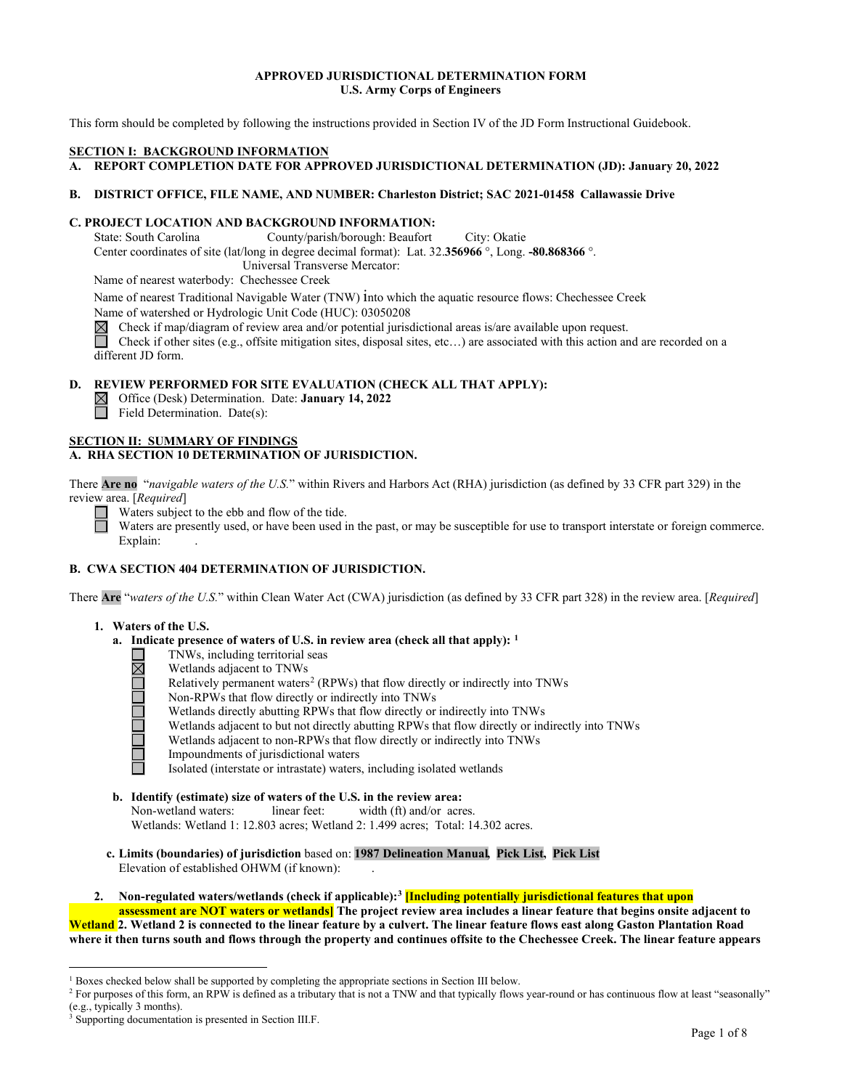#### **APPROVED JURISDICTIONAL DETERMINATION FORM U.S. Army Corps of Engineers**

This form should be completed by following the instructions provided in Section IV of the JD Form Instructional Guidebook.

#### **SECTION I: BACKGROUND INFORMATION**

**A. REPORT COMPLETION DATE FOR APPROVED JURISDICTIONAL DETERMINATION (JD): January 20, 2022**

#### **B. DISTRICT OFFICE, FILE NAME, AND NUMBER: Charleston District; SAC 2021-01458 Callawassie Drive**

# **C. PROJECT LOCATION AND BACKGROUND INFORMATION:**

County/parish/borough: Beaufort City: Okatie Center coordinates of site (lat/long in degree decimal format): Lat. 32.**356966** °, Long. **-80.868366** °. Universal Transverse Mercator:

Name of nearest waterbody: Chechessee Creek

Name of nearest Traditional Navigable Water (TNW) into which the aquatic resource flows: Chechessee Creek

Name of watershed or Hydrologic Unit Code (HUC): 03050208

Check if map/diagram of review area and/or potential jurisdictional areas is/are available upon request.<br>
Check if other sites (e.g., offsite mitigation sites, disposal sites, etc...) are associated with this action an

Check if other sites (e.g., offsite mitigation sites, disposal sites, etc…) are associated with this action and are recorded on a different JD form.

# **D. REVIEW PERFORMED FOR SITE EVALUATION (CHECK ALL THAT APPLY):**

Office (Desk) Determination. Date: **January 14, 2022**  $\Box$  Field Determination. Date(s):

#### **SECTION II: SUMMARY OF FINDINGS**

# **A. RHA SECTION 10 DETERMINATION OF JURISDICTION.**

There **Are no** "*navigable waters of the U.S.*" within Rivers and Harbors Act (RHA) jurisdiction (as defined by 33 CFR part 329) in the review area. [*Required*]

Waters subject to the ebb and flow of the tide.

Waters are presently used, or have been used in the past, or may be susceptible for use to transport interstate or foreign commerce. Explain:

# **B. CWA SECTION 404 DETERMINATION OF JURISDICTION.**

There **Are** "*waters of the U.S.*" within Clean Water Act (CWA) jurisdiction (as defined by 33 CFR part 328) in the review area. [*Required*]

- **1. Waters of the U.S.**
	- **a. Indicate presence of waters of U.S. in review area (check all that apply): [1](#page-0-0)**
		- TNWs, including territorial seas
		- Wetlands adjacent to TNWs
		- Relatively permanent waters<sup>[2](#page-0-1)</sup> (RPWs) that flow directly or indirectly into TNWs
		- <u>NACICIO DI CIC</u> Non-RPWs that flow directly or indirectly into TNWs
			- Wetlands directly abutting RPWs that flow directly or indirectly into TNWs
			- Wetlands adjacent to but not directly abutting RPWs that flow directly or indirectly into TNWs
			- Wetlands adjacent to non-RPWs that flow directly or indirectly into TNWs
			- Impoundments of jurisdictional waters
			- Isolated (interstate or intrastate) waters, including isolated wetlands
	- **b. Identify (estimate) size of waters of the U.S. in the review area:** Non-wetland waters: linear feet: width (ft) and/or acres. Wetlands: Wetland 1: 12.803 acres; Wetland 2: 1.499 acres; Total: 14.302 acres.
	- **c. Limits (boundaries) of jurisdiction** based on: **1987 Delineation Manual, Pick List, Pick List** Elevation of established OHWM (if known): .
- **2. Non-regulated waters/wetlands (check if applicable)[:3](#page-0-2) [Including potentially jurisdictional features that upon assessment are NOT waters or wetlands] The project review area includes a linear feature that begins onsite adjacent to**

**Wetland 2. Wetland 2 is connected to the linear feature by a culvert. The linear feature flows east along Gaston Plantation Road where it then turns south and flows through the property and continues offsite to the Chechessee Creek. The linear feature appears** 

<span id="page-0-0"></span> $1$  Boxes checked below shall be supported by completing the appropriate sections in Section III below.

<span id="page-0-1"></span><sup>&</sup>lt;sup>2</sup> For purposes of this form, an RPW is defined as a tributary that is not a TNW and that typically flows year-round or has continuous flow at least "seasonally" (e.g., typically 3 months).

<span id="page-0-2"></span><sup>&</sup>lt;sup>3</sup> Supporting documentation is presented in Section III.F.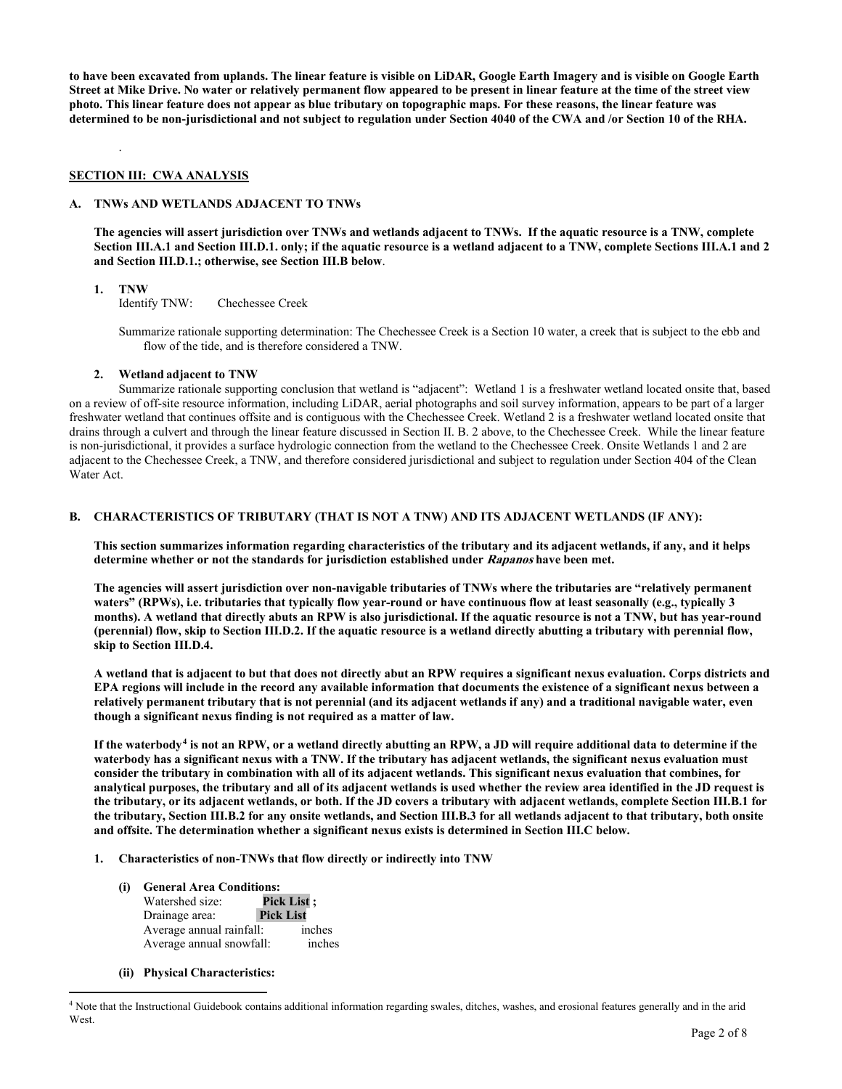**to have been excavated from uplands. The linear feature is visible on LiDAR, Google Earth Imagery and is visible on Google Earth Street at Mike Drive. No water or relatively permanent flow appeared to be present in linear feature at the time of the street view photo. This linear feature does not appear as blue tributary on topographic maps. For these reasons, the linear feature was determined to be non-jurisdictional and not subject to regulation under Section 4040 of the CWA and /or Section 10 of the RHA.** 

#### **SECTION III: CWA ANALYSIS**

#### **A. TNWs AND WETLANDS ADJACENT TO TNWs**

**The agencies will assert jurisdiction over TNWs and wetlands adjacent to TNWs. If the aquatic resource is a TNW, complete Section III.A.1 and Section III.D.1. only; if the aquatic resource is a wetland adjacent to a TNW, complete Sections III.A.1 and 2 and Section III.D.1.; otherwise, see Section III.B below**.

.

**1. TNW Identify TNW:** Chechessee Creek

> Summarize rationale supporting determination: The Chechessee Creek is a Section 10 water, a creek that is subject to the ebb and flow of the tide, and is therefore considered a TNW.

#### **2. Wetland adjacent to TNW**

Summarize rationale supporting conclusion that wetland is "adjacent": Wetland 1 is a freshwater wetland located onsite that, based on a review of off-site resource information, including LiDAR, aerial photographs and soil survey information, appears to be part of a larger freshwater wetland that continues offsite and is contiguous with the Chechessee Creek. Wetland 2 is a freshwater wetland located onsite that drains through a culvert and through the linear feature discussed in Section II. B. 2 above, to the Chechessee Creek. While the linear feature is non-jurisdictional, it provides a surface hydrologic connection from the wetland to the Chechessee Creek. Onsite Wetlands 1 and 2 are adjacent to the Chechessee Creek, a TNW, and therefore considered jurisdictional and subject to regulation under Section 404 of the Clean Water Act.

# **B. CHARACTERISTICS OF TRIBUTARY (THAT IS NOT A TNW) AND ITS ADJACENT WETLANDS (IF ANY):**

**This section summarizes information regarding characteristics of the tributary and its adjacent wetlands, if any, and it helps determine whether or not the standards for jurisdiction established under Rapanos have been met.** 

**The agencies will assert jurisdiction over non-navigable tributaries of TNWs where the tributaries are "relatively permanent waters" (RPWs), i.e. tributaries that typically flow year-round or have continuous flow at least seasonally (e.g., typically 3 months). A wetland that directly abuts an RPW is also jurisdictional. If the aquatic resource is not a TNW, but has year-round (perennial) flow, skip to Section III.D.2. If the aquatic resource is a wetland directly abutting a tributary with perennial flow, skip to Section III.D.4.**

**A wetland that is adjacent to but that does not directly abut an RPW requires a significant nexus evaluation. Corps districts and EPA regions will include in the record any available information that documents the existence of a significant nexus between a relatively permanent tributary that is not perennial (and its adjacent wetlands if any) and a traditional navigable water, even though a significant nexus finding is not required as a matter of law.**

**If the waterbody[4](#page-1-0) is not an RPW, or a wetland directly abutting an RPW, a JD will require additional data to determine if the waterbody has a significant nexus with a TNW. If the tributary has adjacent wetlands, the significant nexus evaluation must consider the tributary in combination with all of its adjacent wetlands. This significant nexus evaluation that combines, for analytical purposes, the tributary and all of its adjacent wetlands is used whether the review area identified in the JD request is the tributary, or its adjacent wetlands, or both. If the JD covers a tributary with adjacent wetlands, complete Section III.B.1 for the tributary, Section III.B.2 for any onsite wetlands, and Section III.B.3 for all wetlands adjacent to that tributary, both onsite and offsite. The determination whether a significant nexus exists is determined in Section III.C below.**

# **1. Characteristics of non-TNWs that flow directly or indirectly into TNW**

**(i) General Area Conditions: Watershed size:** Drainage area: **Pick List** Average annual rainfall: inches Average annual snowfall: inches

#### **(ii) Physical Characteristics:**

<span id="page-1-0"></span><sup>4</sup> Note that the Instructional Guidebook contains additional information regarding swales, ditches, washes, and erosional features generally and in the arid West.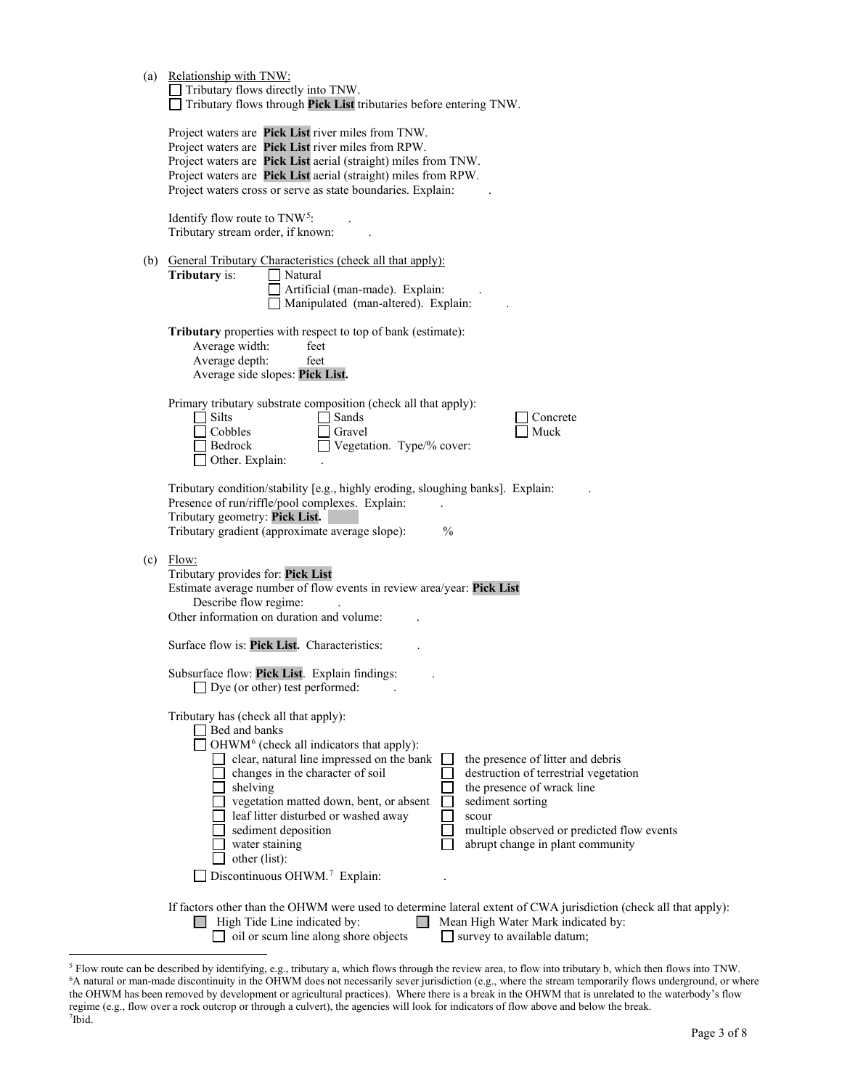| (a) | Relationship with TNW:<br>Tributary flows directly into TNW.<br>Tributary flows through Pick List tributaries before entering TNW.                                                                                                                                                                                                                                                                                                                                                                                                                                                                                                 |
|-----|------------------------------------------------------------------------------------------------------------------------------------------------------------------------------------------------------------------------------------------------------------------------------------------------------------------------------------------------------------------------------------------------------------------------------------------------------------------------------------------------------------------------------------------------------------------------------------------------------------------------------------|
|     | Project waters are Pick List river miles from TNW.<br>Project waters are Pick List river miles from RPW.<br>Project waters are Pick List aerial (straight) miles from TNW.<br>Project waters are Pick List aerial (straight) miles from RPW.<br>Project waters cross or serve as state boundaries. Explain:                                                                                                                                                                                                                                                                                                                        |
|     | Identify flow route to $TNW^5$ :<br>Tributary stream order, if known:                                                                                                                                                                                                                                                                                                                                                                                                                                                                                                                                                              |
|     | (b) General Tributary Characteristics (check all that apply):<br>Tributary is:<br>Natural<br>Artificial (man-made). Explain:<br>Manipulated (man-altered). Explain:                                                                                                                                                                                                                                                                                                                                                                                                                                                                |
|     | Tributary properties with respect to top of bank (estimate):<br>Average width:<br>feet<br>Average depth:<br>feet<br>Average side slopes: Pick List.                                                                                                                                                                                                                                                                                                                                                                                                                                                                                |
|     | Primary tributary substrate composition (check all that apply):<br>$\exists$ Silts<br>Sands<br>Concrete<br>Cobbles<br>Gravel<br>Muck<br>Vegetation. Type/% cover:<br>Bedrock<br>Other. Explain:                                                                                                                                                                                                                                                                                                                                                                                                                                    |
|     | Tributary condition/stability [e.g., highly eroding, sloughing banks]. Explain:<br>Presence of run/riffle/pool complexes. Explain:<br>Tributary geometry: Pick List.<br>Tributary gradient (approximate average slope):<br>$\frac{0}{0}$                                                                                                                                                                                                                                                                                                                                                                                           |
| (c) | Flow:<br>Tributary provides for: Pick List<br>Estimate average number of flow events in review area/year: Pick List<br>Describe flow regime:<br>Other information on duration and volume:                                                                                                                                                                                                                                                                                                                                                                                                                                          |
|     | Surface flow is: Pick List. Characteristics:                                                                                                                                                                                                                                                                                                                                                                                                                                                                                                                                                                                       |
|     | Subsurface flow: Pick List. Explain findings:<br>$\Box$ Dye (or other) test performed:                                                                                                                                                                                                                                                                                                                                                                                                                                                                                                                                             |
|     | Tributary has (check all that apply):<br>Bed and banks<br>OHWM <sup>6</sup> (check all indicators that apply):<br>clear, natural line impressed on the bank<br>the presence of litter and debris<br>changes in the character of soil<br>destruction of terrestrial vegetation<br>the presence of wrack line<br>shelving<br>] vegetation matted down, bent, or absent<br>sediment sorting<br>leaf litter disturbed or washed away<br>scour<br>sediment deposition<br>multiple observed or predicted flow events<br>water staining<br>abrupt change in plant community<br>other (list):<br>Discontinuous OHWM. <sup>7</sup> Explain: |
|     | If factors other than the OHWM were used to determine lateral extent of CWA jurisdiction (check all that apply):<br>High Tide Line indicated by:<br>Mean High Water Mark indicated by:<br>oil or scum line along shore objects<br>$\Box$ survey to available datum;                                                                                                                                                                                                                                                                                                                                                                |

<span id="page-2-2"></span><span id="page-2-1"></span><span id="page-2-0"></span><sup>&</sup>lt;sup>5</sup> Flow route can be described by identifying, e.g., tributary a, which flows through the review area, to flow into tributary b, which then flows into TNW.<br><sup>6</sup>A natural or man-made discontinuity in the OHWM does not neces the OHWM has been removed by development or agricultural practices). Where there is a break in the OHWM that is unrelated to the waterbody's flow regime (e.g., flow over a rock outcrop or through a culvert), the agencies will look for indicators of flow above and below the break. 7 Ibid.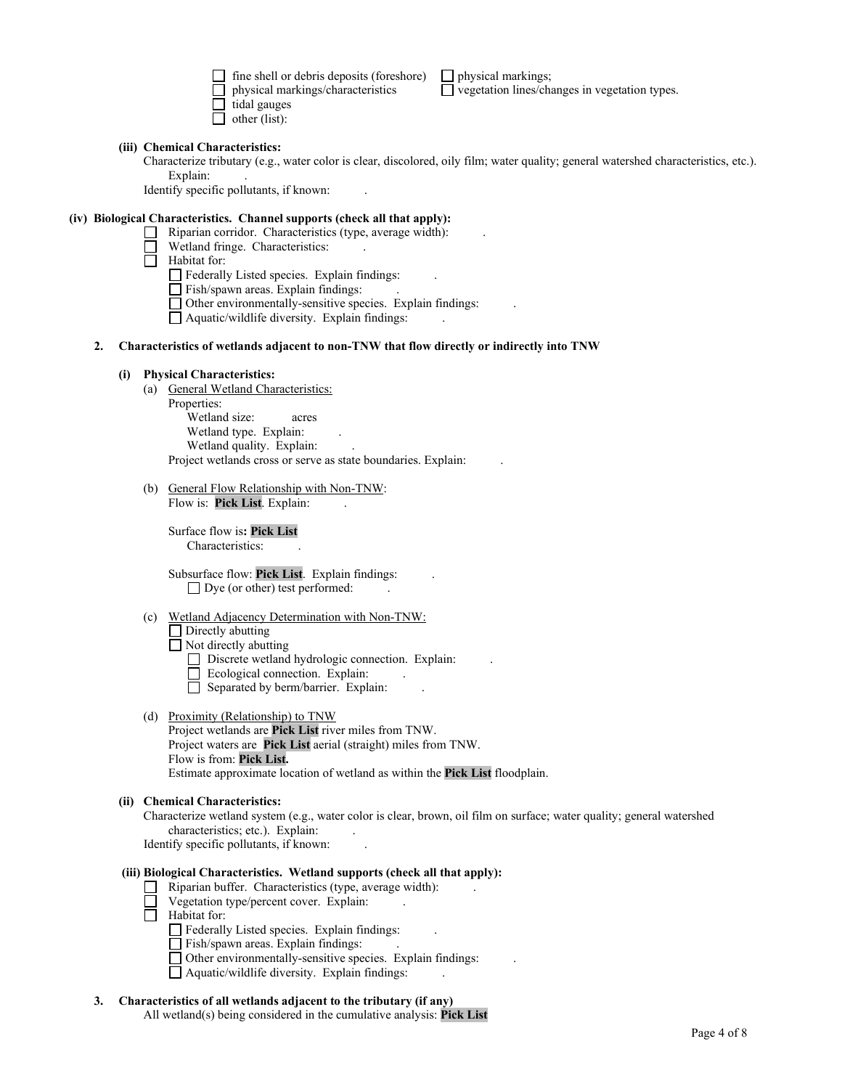fine shell or debris deposits (foreshore)  $\Box$  physical markings; physical markings/characteristics  $\Box$  vegetation lines/characteristics  $\Box$  tidal gauges  $\Box$  other (list):

 $\Box$  vegetation lines/changes in vegetation types.

#### **(iii) Chemical Characteristics:**

Characterize tributary (e.g., water color is clear, discolored, oily film; water quality; general watershed characteristics, etc.). Explain:

Identify specific pollutants, if known: .

# **(iv) Biological Characteristics. Channel supports (check all that apply):**

- $\Box$  Riparian corridor. Characteristics (type, average width):
- Wetland fringe. Characteristics:
- $\overline{\Box}$  Habitat for:
	- Federally Listed species. Explain findings: .
	- $\hfill\Box$  Fish/spawn areas. Explain findings:
	- $\Box$  Other environmentally-sensitive species. Explain findings:
	- Aquatic/wildlife diversity. Explain findings: .
- **2. Characteristics of wetlands adjacent to non-TNW that flow directly or indirectly into TNW**

#### **(i) Physical Characteristics:**

- (a) General Wetland Characteristics:
	- Properties: Wetland size: acres Wetland type. Explain: Wetland quality. Explain: Project wetlands cross or serve as state boundaries. Explain: .
- (b) General Flow Relationship with Non-TNW: Flow is: Pick List. Explain:

Surface flow is**: Pick List**  Characteristics:

Subsurface flow: **Pick List**. Explain findings: .  $\Box$  Dye (or other) test performed:

(c) Wetland Adjacency Determination with Non-TNW:

 $\Box$  Directly abutting Not directly abutting

- $\Box$  Discrete wetland hydrologic connection. Explain:
- $\Box$  Ecological connection. Explain:
- $\Box$  Separated by berm/barrier. Explain:
- (d) Proximity (Relationship) to TNW
	- Project wetlands are **Pick List** river miles from TNW. Project waters are **Pick List** aerial (straight) miles from TNW. Flow is from: **Pick List.** Estimate approximate location of wetland as within the **Pick List** floodplain.

#### **(ii) Chemical Characteristics:**

Characterize wetland system (e.g., water color is clear, brown, oil film on surface; water quality; general watershed characteristics; etc.). Explain: Identify specific pollutants, if known: .

# **(iii) Biological Characteristics. Wetland supports (check all that apply):**

- $\Box$  Riparian buffer. Characteristics (type, average width):
- $\Box$  Vegetation type/percent cover. Explain:
- $\Box$  Habitat for:
	- Federally Listed species. Explain findings: .
	- Fish/spawn areas. Explain findings: .
	- Other environmentally-sensitive species. Explain findings: .
	- $\Box$  Aquatic/wildlife diversity. Explain findings:

#### **3. Characteristics of all wetlands adjacent to the tributary (if any)**

All wetland(s) being considered in the cumulative analysis: **Pick List**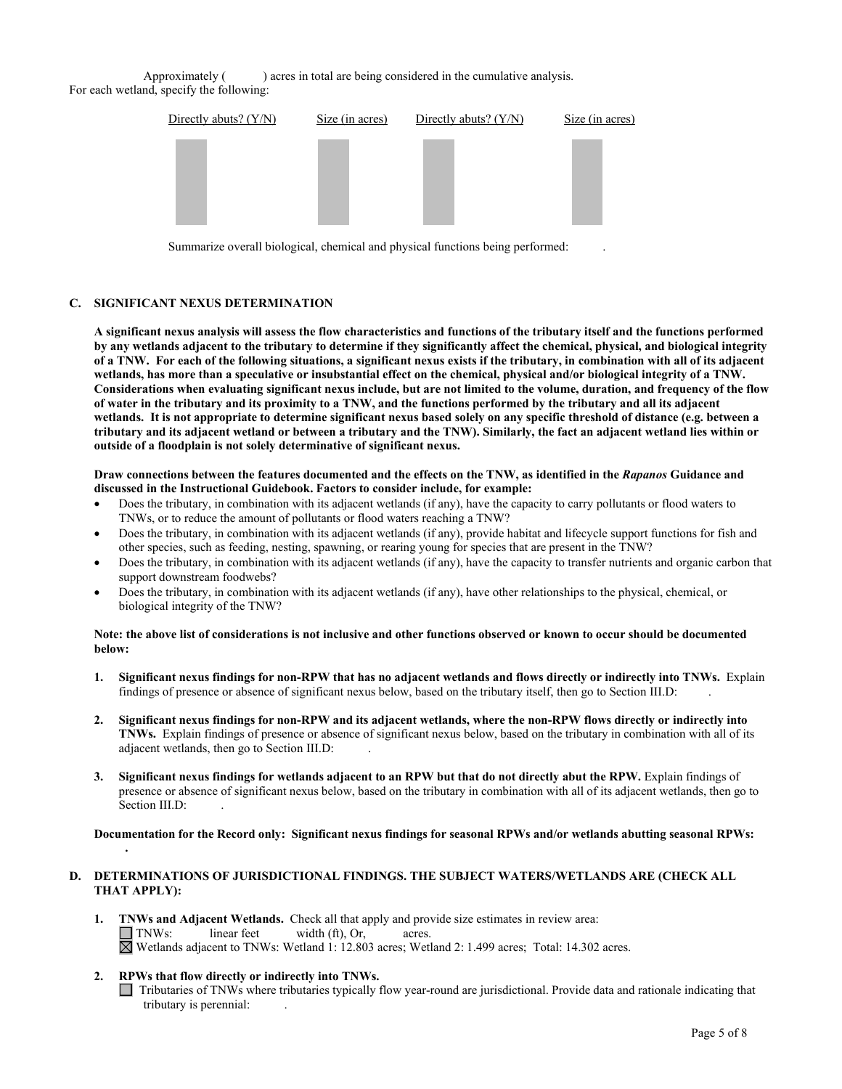Approximately () acres in total are being considered in the cumulative analysis. For each wetland, specify the following:



Summarize overall biological, chemical and physical functions being performed: .

# **C. SIGNIFICANT NEXUS DETERMINATION**

**A significant nexus analysis will assess the flow characteristics and functions of the tributary itself and the functions performed by any wetlands adjacent to the tributary to determine if they significantly affect the chemical, physical, and biological integrity of a TNW. For each of the following situations, a significant nexus exists if the tributary, in combination with all of its adjacent wetlands, has more than a speculative or insubstantial effect on the chemical, physical and/or biological integrity of a TNW. Considerations when evaluating significant nexus include, but are not limited to the volume, duration, and frequency of the flow of water in the tributary and its proximity to a TNW, and the functions performed by the tributary and all its adjacent wetlands. It is not appropriate to determine significant nexus based solely on any specific threshold of distance (e.g. between a tributary and its adjacent wetland or between a tributary and the TNW). Similarly, the fact an adjacent wetland lies within or outside of a floodplain is not solely determinative of significant nexus.** 

#### **Draw connections between the features documented and the effects on the TNW, as identified in the** *Rapanos* **Guidance and discussed in the Instructional Guidebook. Factors to consider include, for example:**

- Does the tributary, in combination with its adjacent wetlands (if any), have the capacity to carry pollutants or flood waters to TNWs, or to reduce the amount of pollutants or flood waters reaching a TNW?
- Does the tributary, in combination with its adjacent wetlands (if any), provide habitat and lifecycle support functions for fish and other species, such as feeding, nesting, spawning, or rearing young for species that are present in the TNW?
- Does the tributary, in combination with its adjacent wetlands (if any), have the capacity to transfer nutrients and organic carbon that support downstream foodwebs?
- Does the tributary, in combination with its adjacent wetlands (if any), have other relationships to the physical, chemical, or biological integrity of the TNW?

#### **Note: the above list of considerations is not inclusive and other functions observed or known to occur should be documented below:**

- **1. Significant nexus findings for non-RPW that has no adjacent wetlands and flows directly or indirectly into TNWs.** Explain findings of presence or absence of significant nexus below, based on the tributary itself, then go to Section III.D: .
- **2. Significant nexus findings for non-RPW and its adjacent wetlands, where the non-RPW flows directly or indirectly into TNWs.** Explain findings of presence or absence of significant nexus below, based on the tributary in combination with all of its adjacent wetlands, then go to Section III.D: .
- **3. Significant nexus findings for wetlands adjacent to an RPW but that do not directly abut the RPW.** Explain findings of presence or absence of significant nexus below, based on the tributary in combination with all of its adjacent wetlands, then go to Section III.D:

**Documentation for the Record only: Significant nexus findings for seasonal RPWs and/or wetlands abutting seasonal RPWs:** 

## **D. DETERMINATIONS OF JURISDICTIONAL FINDINGS. THE SUBJECT WATERS/WETLANDS ARE (CHECK ALL THAT APPLY):**

- **1. INWs and Adjacent Wetlands.** Check all that apply and provide size estimates in review area:<br> **INWs:** linear feet width (ft). Or. acres.  $width (ft)$ ,  $Or$ , acres. Wetlands adjacent to TNWs: Wetland 1: 12.803 acres; Wetland 2: 1.499 acres; Total: 14.302 acres.
- **2. RPWs that flow directly or indirectly into TNWs.**

**.**

Tributaries of TNWs where tributaries typically flow year-round are jurisdictional. Provide data and rationale indicating that tributary is perennial: .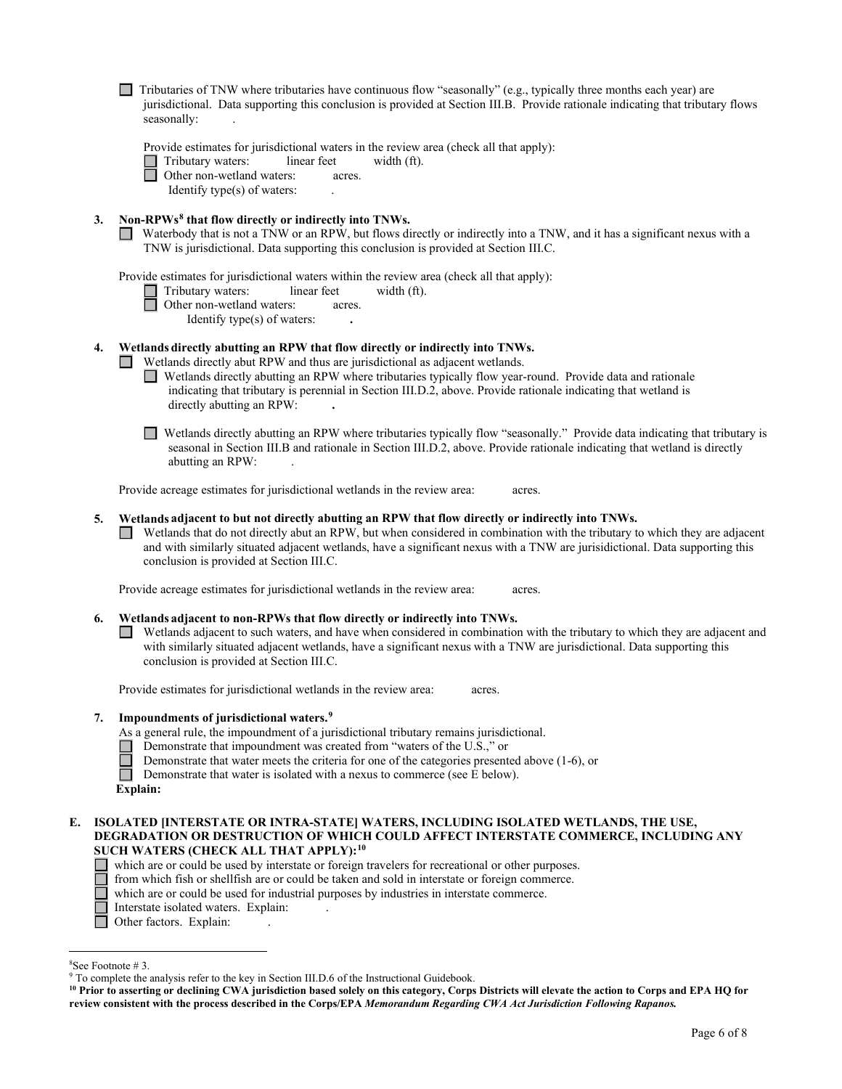$\Box$  Tributaries of TNW where tributaries have continuous flow "seasonally" (e.g., typically three months each year) are jurisdictional. Data supporting this conclusion is provided at Section III.B. Provide rationale indicating that tributary flows seasonally:

Provide estimates for jurisdictional waters in the review area (check all that apply):

Tributary waters: linear feet width (ft).<br>
Other non-wetland waters: acres.

Other non-wetland waters: acres.

Identify type(s) of waters: .

# **3. Non-RPWs[8](#page-5-0) that flow directly or indirectly into TNWs.**

Waterbody that is not a TNW or an RPW, but flows directly or indirectly into a TNW, and it has a significant nexus with a TNW is jurisdictional. Data supporting this conclusion is provided at Section III.C.

Provide estimates for jurisdictional waters within the review area (check all that apply):

| Tributary waters: | linear feet | width $(ft)$ . |
|-------------------|-------------|----------------|

□ Other non-wetland waters: acres.

Identify type(s) of waters: **.**

# **4. Wetlands directly abutting an RPW that flow directly or indirectly into TNWs.**

Wetlands directly abut RPW and thus are jurisdictional as adjacent wetlands.

- Wetlands directly abutting an RPW where tributaries typically flow year-round. Provide data and rationale indicating that tributary is perennial in Section III.D.2, above. Provide rationale indicating that wetland is directly abutting an RPW: **.**
- Wetlands directly abutting an RPW where tributaries typically flow "seasonally." Provide data indicating that tributary is seasonal in Section III.B and rationale in Section III.D.2, above. Provide rationale indicating that wetland is directly abutting an RPW: .

Provide acreage estimates for jurisdictional wetlands in the review area: acres.

# **5. Wetlands adjacent to but not directly abutting an RPW that flow directly or indirectly into TNWs.**

 $\Box$  Wetlands that do not directly abut an RPW, but when considered in combination with the tributary to which they are adjacent and with similarly situated adjacent wetlands, have a significant nexus with a TNW are jurisidictional. Data supporting this conclusion is provided at Section III.C.

Provide acreage estimates for jurisdictional wetlands in the review area: acres.

# **6. Wetlands adjacent to non-RPWs that flow directly or indirectly into TNWs.**

Wetlands adjacent to such waters, and have when considered in combination with the tributary to which they are adjacent and with similarly situated adjacent wetlands, have a significant nexus with a TNW are jurisdictional. Data supporting this conclusion is provided at Section III.C.

Provide estimates for jurisdictional wetlands in the review area: acres.

# **7. Impoundments of jurisdictional waters. [9](#page-5-1)**

As a general rule, the impoundment of a jurisdictional tributary remains jurisdictional.

- Demonstrate that impoundment was created from "waters of the U.S.," or
- Demonstrate that water meets the criteria for one of the categories presented above (1-6), or

П Demonstrate that water is isolated with a nexus to commerce (see E below).

| Explain: |
|----------|
|----------|

## **E. ISOLATED [INTERSTATE OR INTRA-STATE] WATERS, INCLUDING ISOLATED WETLANDS, THE USE, DEGRADATION OR DESTRUCTION OF WHICH COULD AFFECT INTERSTATE COMMERCE, INCLUDING ANY SUCH WATERS (CHECK ALL THAT APPLY):[10](#page-5-2)**

which are or could be used by interstate or foreign travelers for recreational or other purposes.

from which fish or shellfish are or could be taken and sold in interstate or foreign commerce.

- which are or could be used for industrial purposes by industries in interstate commerce.
- Interstate isolated waters.Explain: .
- $\Box$ Other factors. Explain:

Г

<span id="page-5-0"></span><sup>&</sup>lt;sup>8</sup>See Footnote #3.

<span id="page-5-1"></span> $9$  To complete the analysis refer to the key in Section III.D.6 of the Instructional Guidebook.

<span id="page-5-2"></span>**<sup>10</sup> Prior to asserting or declining CWA jurisdiction based solely on this category, Corps Districts will elevate the action to Corps and EPA HQ for review consistent with the process described in the Corps/EPA** *Memorandum Regarding CWA Act Jurisdiction Following Rapanos.*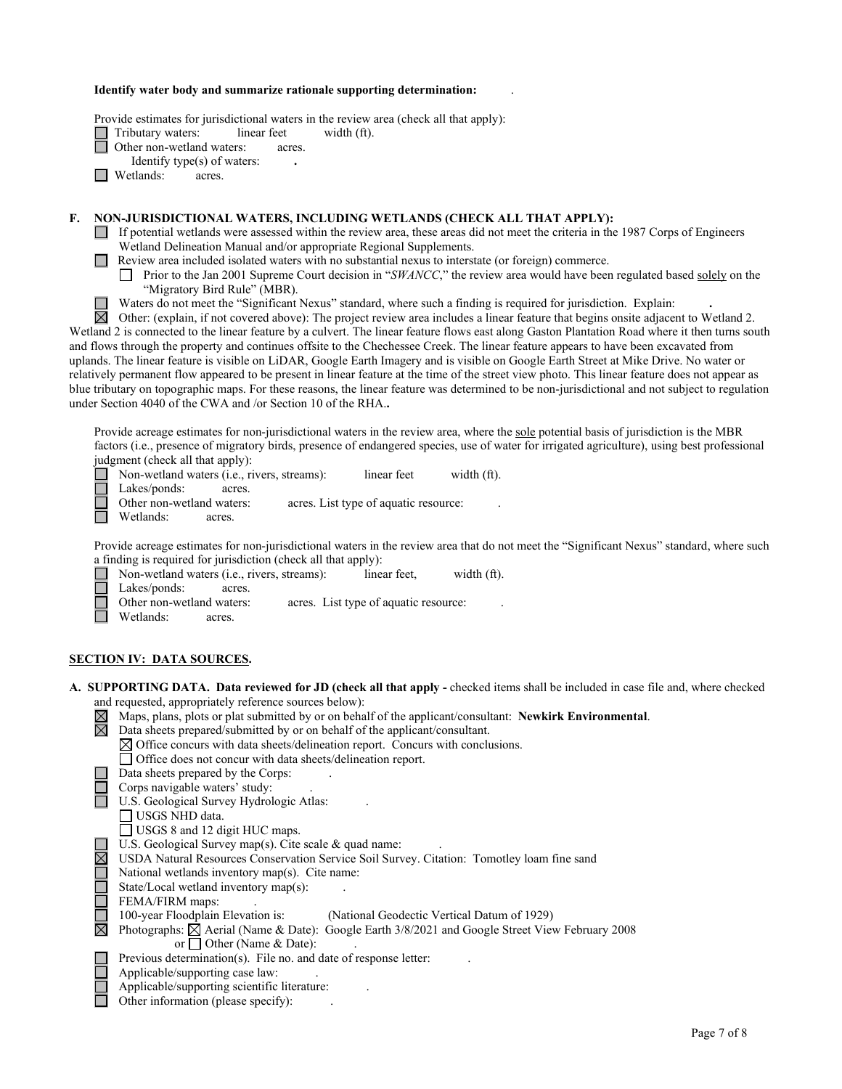#### **Identify water body and summarize rationale supporting determination:** .

Provide estimates for jurisdictional waters in the review area (check all that apply):

Tributary waters: linear feet width (ft).

Other non-wetland waters: acres.

Identify type(s) of waters: **.**

**I** Wetlands: acres.

# **F. NON-JURISDICTIONAL WATERS, INCLUDING WETLANDS (CHECK ALL THAT APPLY):**

- If potential wetlands were assessed within the review area, these areas did not meet the criteria in the 1987 Corps of Engineers Wetland Delineation Manual and/or appropriate Regional Supplements.
- **Review area included isolated waters with no substantial nexus to interstate (or foreign) commerce.** 
	- Prior to the Jan 2001 Supreme Court decision in "*SWANCC*," the review area would have been regulated based solely on the "Migratory Bird Rule" (MBR).
	- Waters do not meet the "Significant Nexus" standard, where such a finding is required for jurisdiction. Explain: **.**

岗 Other: (explain, if not covered above): The project review area includes a linear feature that begins onsite adjacent to Wetland 2. Wetland 2 is connected to the linear feature by a culvert. The linear feature flows east along Gaston Plantation Road where it then turns south and flows through the property and continues offsite to the Chechessee Creek. The linear feature appears to have been excavated from uplands. The linear feature is visible on LiDAR, Google Earth Imagery and is visible on Google Earth Street at Mike Drive. No water or relatively permanent flow appeared to be present in linear feature at the time of the street view photo. This linear feature does not appear as blue tributary on topographic maps. For these reasons, the linear feature was determined to be non-jurisdictional and not subject to regulation under Section 4040 of the CWA and /or Section 10 of the RHA.**.**

Provide acreage estimates for non-jurisdictional waters in the review area, where the sole potential basis of jurisdiction is the MBR factors (i.e., presence of migratory birds, presence of endangered species, use of water for irrigated agriculture), using best professional judgment (check all that apply):

Non-wetland waters (i.e., rivers, streams): linear feet width (ft).

Lakes/ponds: acres.

Other non-wetland waters: acres. List type of aquatic resource:

Wetlands: acres.

⊔

Provide acreage estimates for non-jurisdictional waters in the review area that do not meet the "Significant Nexus" standard, where such a finding is required for jurisdiction (check all that apply):<br>  $\Box$  Non-wetland waters (i.e., rivers, streams): linear feet,

 $\Box$ Non-wetland waters (i.e., rivers, streams): linear feet, width (ft).

Lakes/ponds: acres.

Other non-wetland waters: acres. List type of aquatic resource:

Wetlands: acres.

#### **SECTION IV: DATA SOURCES.**

| A. SUPPORTING DATA. Data reviewed for JD (check all that apply - checked items shall be included in case file and, where checked |
|----------------------------------------------------------------------------------------------------------------------------------|
| and requested, appropriately reference sources below):                                                                           |
| $\boxtimes$ Maps, plans, plots or plat submitted by or on behalf of the applicant/consultant: Newkirk Environmental.             |
| $\boxtimes$ Data sheets prepared/submitted by or on behalf of the applicant/consultant.                                          |

 $\boxtimes$  Office concurs with data sheets/delineation report. Concurs with conclusions.

Office does not concur with data sheets/delineation report.

- Data sheets prepared by the Corps: .
	- Corps navigable waters' study: .
- U.S. Geological Survey Hydrologic Atlas:
	- USGS NHD data.
- USGS 8 and 12 digit HUC maps.
- U.S. Geological Survey map(s). Cite scale & quad name:
- USDA Natural Resources Conservation Service Soil Survey. Citation: Tomotley loam fine sand
- National wetlands inventory map(s). Cite name:

State/Local wetland inventory map(s):

FEMA/FIRM maps:

100-year Floodplain Elevation is: (National Geodectic Vertical Datum of 1929)

- Photographs:  $\boxtimes$  Aerial (Name & Date): Google Earth 3/8/2021 and Google Street View February 2008 or  $\Box$  Other (Name & Date):
- Previous determination(s). File no. and date of response letter:
- Applicable/supporting case law: .
- Applicable/supporting scientific literature: .
- Other information (please specify): .